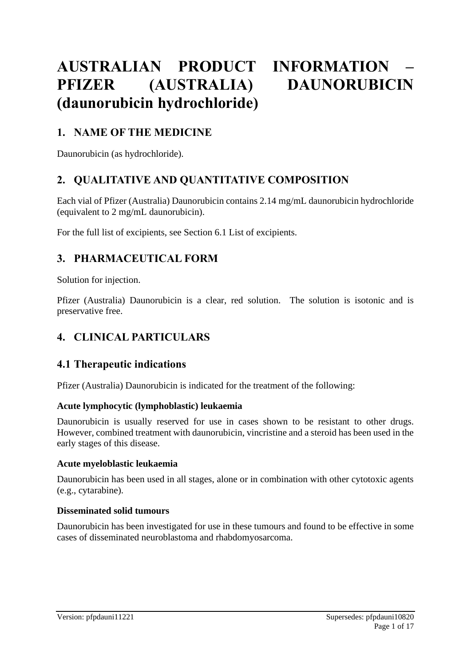# **AUSTRALIAN PRODUCT INFORMATION – PFIZER (AUSTRALIA) DAUNORUBICIN (daunorubicin hydrochloride)**

# **1. NAME OF THE MEDICINE**

Daunorubicin (as hydrochloride).

# **2. QUALITATIVE AND QUANTITATIVE COMPOSITION**

Each vial of Pfizer (Australia) Daunorubicin contains 2.14 mg/mL daunorubicin hydrochloride (equivalent to 2 mg/mL daunorubicin).

For the full list of excipients, see Section 6.1 List of excipients.

# **3. PHARMACEUTICAL FORM**

Solution for injection.

Pfizer (Australia) Daunorubicin is a clear, red solution. The solution is isotonic and is preservative free.

# **4. CLINICAL PARTICULARS**

### **4.1 Therapeutic indications**

Pfizer (Australia) Daunorubicin is indicated for the treatment of the following:

### **Acute lymphocytic (lymphoblastic) leukaemia**

Daunorubicin is usually reserved for use in cases shown to be resistant to other drugs. However, combined treatment with daunorubicin, vincristine and a steroid has been used in the early stages of this disease.

#### **Acute myeloblastic leukaemia**

Daunorubicin has been used in all stages, alone or in combination with other cytotoxic agents (e.g., cytarabine).

### **Disseminated solid tumours**

Daunorubicin has been investigated for use in these tumours and found to be effective in some cases of disseminated neuroblastoma and rhabdomyosarcoma.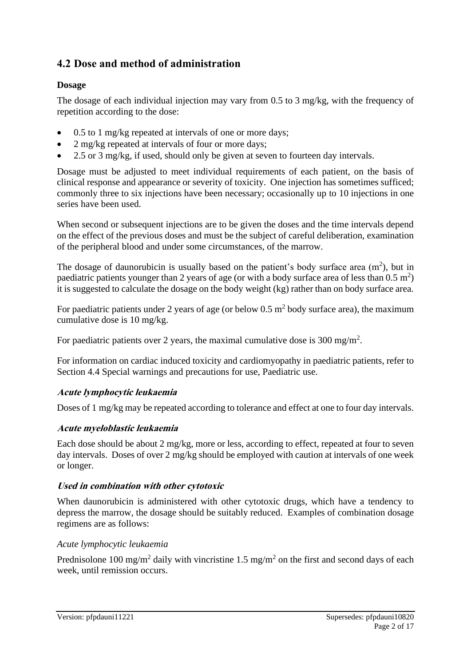# **4.2 Dose and method of administration**

### **Dosage**

The dosage of each individual injection may vary from 0.5 to 3 mg/kg, with the frequency of repetition according to the dose:

- 0.5 to 1 mg/kg repeated at intervals of one or more days;
- 2 mg/kg repeated at intervals of four or more days;
- 2.5 or 3 mg/kg, if used, should only be given at seven to fourteen day intervals.

Dosage must be adjusted to meet individual requirements of each patient, on the basis of clinical response and appearance or severity of toxicity. One injection has sometimes sufficed; commonly three to six injections have been necessary; occasionally up to 10 injections in one series have been used.

When second or subsequent injections are to be given the doses and the time intervals depend on the effect of the previous doses and must be the subject of careful deliberation, examination of the peripheral blood and under some circumstances, of the marrow.

The dosage of daunorubicin is usually based on the patient's body surface area  $(m^2)$ , but in paediatric patients younger than 2 years of age (or with a body surface area of less than  $0.5 \text{ m}^2$ ) it is suggested to calculate the dosage on the body weight (kg) rather than on body surface area.

For paediatric patients under 2 years of age (or below  $0.5 \text{ m}^2$  body surface area), the maximum cumulative dose is 10 mg/kg.

For paediatric patients over 2 years, the maximal cumulative dose is 300 mg/m<sup>2</sup>.

For information on cardiac induced toxicity and cardiomyopathy in paediatric patients, refer to Section 4.4 Special warnings and precautions for use, Paediatric use.

### **Acute lymphocytic leukaemia**

Doses of 1 mg/kg may be repeated according to tolerance and effect at one to four day intervals.

### **Acute myeloblastic leukaemia**

Each dose should be about 2 mg/kg, more or less, according to effect, repeated at four to seven day intervals. Doses of over 2 mg/kg should be employed with caution at intervals of one week or longer.

### **Used in combination with other cytotoxic**

When daunorubicin is administered with other cytotoxic drugs, which have a tendency to depress the marrow, the dosage should be suitably reduced. Examples of combination dosage regimens are as follows:

### *Acute lymphocytic leukaemia*

Prednisolone 100 mg/m<sup>2</sup> daily with vincristine 1.5 mg/m<sup>2</sup> on the first and second days of each week, until remission occurs.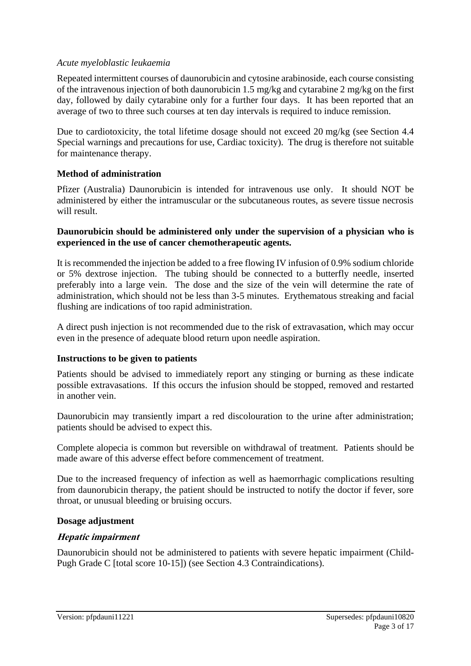#### *Acute myeloblastic leukaemia*

Repeated intermittent courses of daunorubicin and cytosine arabinoside, each course consisting of the intravenous injection of both daunorubicin 1.5 mg/kg and cytarabine 2 mg/kg on the first day, followed by daily cytarabine only for a further four days. It has been reported that an average of two to three such courses at ten day intervals is required to induce remission.

Due to cardiotoxicity, the total lifetime dosage should not exceed 20 mg/kg (see Section 4.4 Special warnings and precautions for use, Cardiac toxicity). The drug is therefore not suitable for maintenance therapy.

#### **Method of administration**

Pfizer (Australia) Daunorubicin is intended for intravenous use only. It should NOT be administered by either the intramuscular or the subcutaneous routes, as severe tissue necrosis will result.

#### **Daunorubicin should be administered only under the supervision of a physician who is experienced in the use of cancer chemotherapeutic agents.**

It is recommended the injection be added to a free flowing IV infusion of 0.9% sodium chloride or 5% dextrose injection. The tubing should be connected to a butterfly needle, inserted preferably into a large vein. The dose and the size of the vein will determine the rate of administration, which should not be less than 3-5 minutes. Erythematous streaking and facial flushing are indications of too rapid administration.

A direct push injection is not recommended due to the risk of extravasation, which may occur even in the presence of adequate blood return upon needle aspiration.

#### **Instructions to be given to patients**

Patients should be advised to immediately report any stinging or burning as these indicate possible extravasations. If this occurs the infusion should be stopped, removed and restarted in another vein.

Daunorubicin may transiently impart a red discolouration to the urine after administration; patients should be advised to expect this.

Complete alopecia is common but reversible on withdrawal of treatment. Patients should be made aware of this adverse effect before commencement of treatment.

Due to the increased frequency of infection as well as haemorrhagic complications resulting from daunorubicin therapy, the patient should be instructed to notify the doctor if fever, sore throat, or unusual bleeding or bruising occurs.

#### **Dosage adjustment**

#### **Hepatic impairment**

Daunorubicin should not be administered to patients with severe hepatic impairment (Child-Pugh Grade C [total score 10-15]) (see Section 4.3 Contraindications).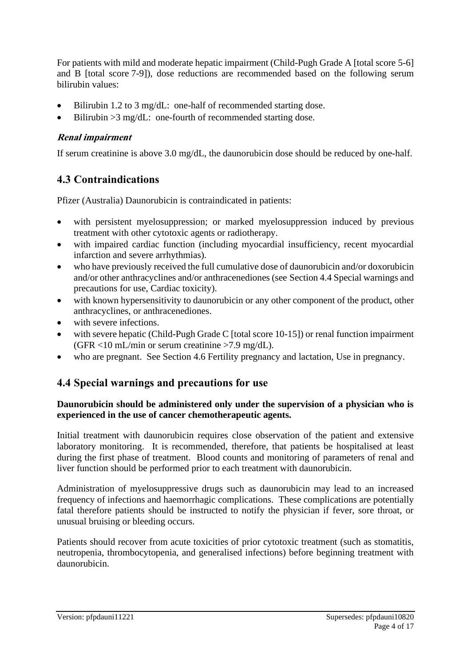For patients with mild and moderate hepatic impairment (Child-Pugh Grade A [total score 5-6] and B [total score 7-9]), dose reductions are recommended based on the following serum bilirubin values:

- Bilirubin 1.2 to 3 mg/dL: one-half of recommended starting dose.
- Bilirubin > 3 mg/dL: one-fourth of recommended starting dose.

### **Renal impairment**

If serum creatinine is above 3.0 mg/dL, the daunorubicin dose should be reduced by one-half.

# **4.3 Contraindications**

Pfizer (Australia) Daunorubicin is contraindicated in patients:

- with persistent myelosuppression; or marked myelosuppression induced by previous treatment with other cytotoxic agents or radiotherapy.
- with impaired cardiac function (including myocardial insufficiency, recent myocardial infarction and severe arrhythmias).
- who have previously received the full cumulative dose of daunorubicin and/or doxorubicin and/or other anthracyclines and/or anthracenediones (see Section 4.4 Special warnings and precautions for use, Cardiac toxicity).
- with known hypersensitivity to daunorubicin or any other component of the product, other anthracyclines, or anthracenediones.
- with severe infections.
- with severe hepatic (Child-Pugh Grade C [total score 10-15]) or renal function impairment (GFR  $<$ 10 mL/min or serum creatinine >7.9 mg/dL).
- who are pregnant. See Section 4.6 Fertility pregnancy and lactation, Use in pregnancy.

# **4.4 Special warnings and precautions for use**

#### **Daunorubicin should be administered only under the supervision of a physician who is experienced in the use of cancer chemotherapeutic agents.**

Initial treatment with daunorubicin requires close observation of the patient and extensive laboratory monitoring. It is recommended, therefore, that patients be hospitalised at least during the first phase of treatment. Blood counts and monitoring of parameters of renal and liver function should be performed prior to each treatment with daunorubicin.

Administration of myelosuppressive drugs such as daunorubicin may lead to an increased frequency of infections and haemorrhagic complications. These complications are potentially fatal therefore patients should be instructed to notify the physician if fever, sore throat, or unusual bruising or bleeding occurs.

Patients should recover from acute toxicities of prior cytotoxic treatment (such as stomatitis, neutropenia, thrombocytopenia, and generalised infections) before beginning treatment with daunorubicin.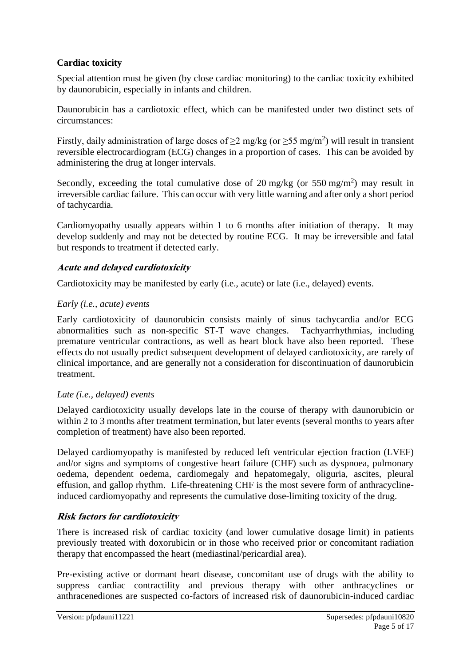### **Cardiac toxicity**

Special attention must be given (by close cardiac monitoring) to the cardiac toxicity exhibited by daunorubicin, especially in infants and children.

Daunorubicin has a cardiotoxic effect, which can be manifested under two distinct sets of circumstances:

Firstly, daily administration of large doses of  $\geq$ 2 mg/kg (or  $\geq$ 55 mg/m<sup>2</sup>) will result in transient reversible electrocardiogram (ECG) changes in a proportion of cases. This can be avoided by administering the drug at longer intervals.

Secondly, exceeding the total cumulative dose of 20 mg/kg (or 550 mg/m<sup>2</sup>) may result in irreversible cardiac failure. This can occur with very little warning and after only a short period of tachycardia.

Cardiomyopathy usually appears within 1 to 6 months after initiation of therapy. It may develop suddenly and may not be detected by routine ECG. It may be irreversible and fatal but responds to treatment if detected early.

### **Acute and delayed cardiotoxicity**

Cardiotoxicity may be manifested by early (i.e., acute) or late (i.e., delayed) events.

### *Early (i.e., acute) events*

Early cardiotoxicity of daunorubicin consists mainly of sinus tachycardia and/or ECG abnormalities such as non-specific ST-T wave changes. Tachyarrhythmias, including premature ventricular contractions, as well as heart block have also been reported. These effects do not usually predict subsequent development of delayed cardiotoxicity, are rarely of clinical importance, and are generally not a consideration for discontinuation of daunorubicin treatment.

#### *Late (i.e., delayed) events*

Delayed cardiotoxicity usually develops late in the course of therapy with daunorubicin or within 2 to 3 months after treatment termination, but later events (several months to years after completion of treatment) have also been reported.

Delayed cardiomyopathy is manifested by reduced left ventricular ejection fraction (LVEF) and/or signs and symptoms of congestive heart failure (CHF) such as dyspnoea, pulmonary oedema, dependent oedema, cardiomegaly and hepatomegaly, oliguria, ascites, pleural effusion, and gallop rhythm. Life-threatening CHF is the most severe form of anthracyclineinduced cardiomyopathy and represents the cumulative dose-limiting toxicity of the drug.

### **Risk factors for cardiotoxicity**

There is increased risk of cardiac toxicity (and lower cumulative dosage limit) in patients previously treated with doxorubicin or in those who received prior or concomitant radiation therapy that encompassed the heart (mediastinal/pericardial area).

Pre-existing active or dormant heart disease, concomitant use of drugs with the ability to suppress cardiac contractility and previous therapy with other anthracyclines or anthracenediones are suspected co-factors of increased risk of daunorubicin-induced cardiac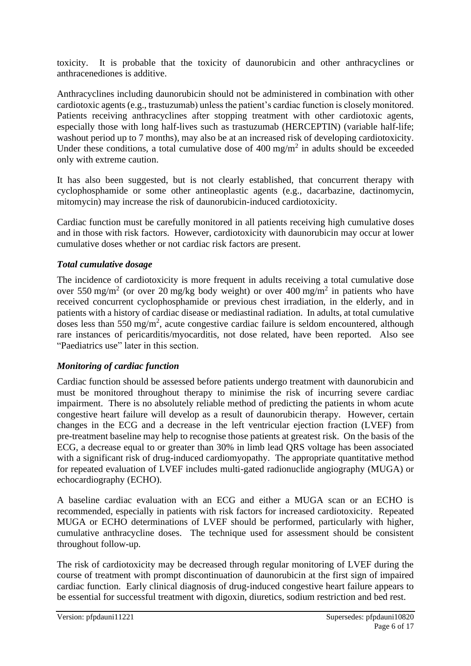toxicity. It is probable that the toxicity of daunorubicin and other anthracyclines or anthracenediones is additive.

Anthracyclines including daunorubicin should not be administered in combination with other cardiotoxic agents (e.g., trastuzumab) unless the patient's cardiac function is closely monitored. Patients receiving anthracyclines after stopping treatment with other cardiotoxic agents, especially those with long half-lives such as trastuzumab (HERCEPTIN) (variable half-life; washout period up to 7 months), may also be at an increased risk of developing cardiotoxicity. Under these conditions, a total cumulative dose of  $400 \text{ mg/m}^2$  in adults should be exceeded only with extreme caution.

It has also been suggested, but is not clearly established, that concurrent therapy with cyclophosphamide or some other antineoplastic agents (e.g., dacarbazine, dactinomycin, mitomycin) may increase the risk of daunorubicin-induced cardiotoxicity.

Cardiac function must be carefully monitored in all patients receiving high cumulative doses and in those with risk factors. However, cardiotoxicity with daunorubicin may occur at lower cumulative doses whether or not cardiac risk factors are present.

### *Total cumulative dosage*

The incidence of cardiotoxicity is more frequent in adults receiving a total cumulative dose over 550 mg/m<sup>2</sup> (or over 20 mg/kg body weight) or over 400 mg/m<sup>2</sup> in patients who have received concurrent cyclophosphamide or previous chest irradiation, in the elderly, and in patients with a history of cardiac disease or mediastinal radiation. In adults, at total cumulative doses less than 550 mg/m<sup>2</sup>, acute congestive cardiac failure is seldom encountered, although rare instances of pericarditis/myocarditis, not dose related, have been reported. Also see "Paediatrics use" later in this section.

### *Monitoring of cardiac function*

Cardiac function should be assessed before patients undergo treatment with daunorubicin and must be monitored throughout therapy to minimise the risk of incurring severe cardiac impairment. There is no absolutely reliable method of predicting the patients in whom acute congestive heart failure will develop as a result of daunorubicin therapy. However, certain changes in the ECG and a decrease in the left ventricular ejection fraction (LVEF) from pre-treatment baseline may help to recognise those patients at greatest risk. On the basis of the ECG, a decrease equal to or greater than 30% in limb lead QRS voltage has been associated with a significant risk of drug-induced cardiomyopathy. The appropriate quantitative method for repeated evaluation of LVEF includes multi-gated radionuclide angiography (MUGA) or echocardiography (ECHO).

A baseline cardiac evaluation with an ECG and either a MUGA scan or an ECHO is recommended, especially in patients with risk factors for increased cardiotoxicity. Repeated MUGA or ECHO determinations of LVEF should be performed, particularly with higher, cumulative anthracycline doses. The technique used for assessment should be consistent throughout follow-up.

The risk of cardiotoxicity may be decreased through regular monitoring of LVEF during the course of treatment with prompt discontinuation of daunorubicin at the first sign of impaired cardiac function. Early clinical diagnosis of drug-induced congestive heart failure appears to be essential for successful treatment with digoxin, diuretics, sodium restriction and bed rest.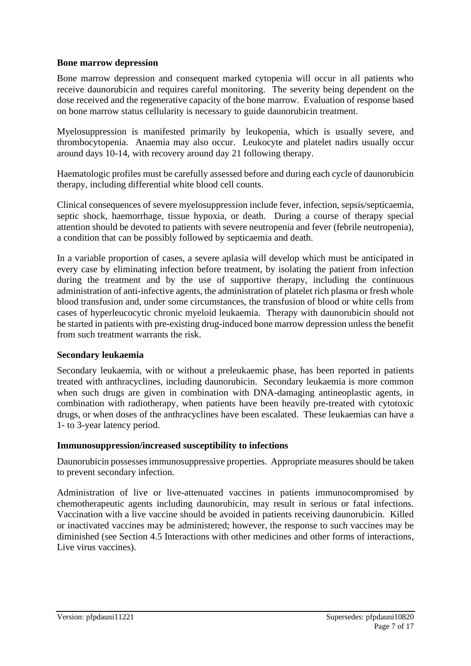#### **Bone marrow depression**

Bone marrow depression and consequent marked cytopenia will occur in all patients who receive daunorubicin and requires careful monitoring. The severity being dependent on the dose received and the regenerative capacity of the bone marrow. Evaluation of response based on bone marrow status cellularity is necessary to guide daunorubicin treatment.

Myelosuppression is manifested primarily by leukopenia, which is usually severe, and thrombocytopenia. Anaemia may also occur. Leukocyte and platelet nadirs usually occur around days 10-14, with recovery around day 21 following therapy.

Haematologic profiles must be carefully assessed before and during each cycle of daunorubicin therapy, including differential white blood cell counts.

Clinical consequences of severe myelosuppression include fever, infection, sepsis/septicaemia, septic shock, haemorrhage, tissue hypoxia, or death. During a course of therapy special attention should be devoted to patients with severe neutropenia and fever (febrile neutropenia), a condition that can be possibly followed by septicaemia and death.

In a variable proportion of cases, a severe aplasia will develop which must be anticipated in every case by eliminating infection before treatment, by isolating the patient from infection during the treatment and by the use of supportive therapy, including the continuous administration of anti-infective agents, the administration of platelet rich plasma or fresh whole blood transfusion and, under some circumstances, the transfusion of blood or white cells from cases of hyperleucocytic chronic myeloid leukaemia. Therapy with daunorubicin should not be started in patients with pre-existing drug-induced bone marrow depression unless the benefit from such treatment warrants the risk.

#### **Secondary leukaemia**

Secondary leukaemia, with or without a preleukaemic phase, has been reported in patients treated with anthracyclines, including daunorubicin. Secondary leukaemia is more common when such drugs are given in combination with DNA-damaging antineoplastic agents, in combination with radiotherapy, when patients have been heavily pre-treated with cytotoxic drugs, or when doses of the anthracyclines have been escalated. These leukaemias can have a 1- to 3-year latency period.

#### **Immunosuppression/increased susceptibility to infections**

Daunorubicin possesses immunosuppressive properties. Appropriate measures should be taken to prevent secondary infection.

Administration of live or live-attenuated vaccines in patients immunocompromised by chemotherapeutic agents including daunorubicin, may result in serious or fatal infections. Vaccination with a live vaccine should be avoided in patients receiving daunorubicin. Killed or inactivated vaccines may be administered; however, the response to such vaccines may be diminished (see Section 4.5 Interactions with other medicines and other forms of interactions, Live virus vaccines).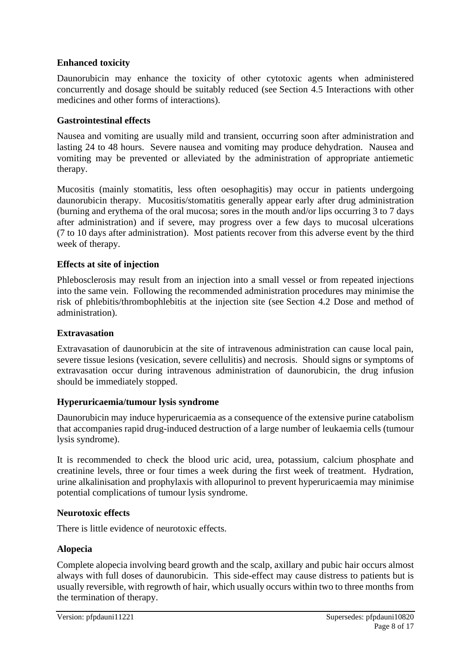### **Enhanced toxicity**

Daunorubicin may enhance the toxicity of other cytotoxic agents when administered concurrently and dosage should be suitably reduced (see Section 4.5 Interactions with other medicines and other forms of interactions).

### **Gastrointestinal effects**

Nausea and vomiting are usually mild and transient, occurring soon after administration and lasting 24 to 48 hours. Severe nausea and vomiting may produce dehydration. Nausea and vomiting may be prevented or alleviated by the administration of appropriate antiemetic therapy.

Mucositis (mainly stomatitis, less often oesophagitis) may occur in patients undergoing daunorubicin therapy. Mucositis/stomatitis generally appear early after drug administration (burning and erythema of the oral mucosa; sores in the mouth and/or lips occurring 3 to 7 days after administration) and if severe, may progress over a few days to mucosal ulcerations (7 to 10 days after administration). Most patients recover from this adverse event by the third week of therapy.

### **Effects at site of injection**

Phlebosclerosis may result from an injection into a small vessel or from repeated injections into the same vein. Following the recommended administration procedures may minimise the risk of phlebitis/thrombophlebitis at the injection site (see Section 4.2 Dose and method of administration).

### **Extravasation**

Extravasation of daunorubicin at the site of intravenous administration can cause local pain, severe tissue lesions (vesication, severe cellulitis) and necrosis. Should signs or symptoms of extravasation occur during intravenous administration of daunorubicin, the drug infusion should be immediately stopped.

### **Hyperuricaemia/tumour lysis syndrome**

Daunorubicin may induce hyperuricaemia as a consequence of the extensive purine catabolism that accompanies rapid drug-induced destruction of a large number of leukaemia cells (tumour lysis syndrome).

It is recommended to check the blood uric acid, urea, potassium, calcium phosphate and creatinine levels, three or four times a week during the first week of treatment. Hydration, urine alkalinisation and prophylaxis with allopurinol to prevent hyperuricaemia may minimise potential complications of tumour lysis syndrome.

### **Neurotoxic effects**

There is little evidence of neurotoxic effects.

### **Alopecia**

Complete alopecia involving beard growth and the scalp, axillary and pubic hair occurs almost always with full doses of daunorubicin. This side-effect may cause distress to patients but is usually reversible, with regrowth of hair, which usually occurs within two to three months from the termination of therapy.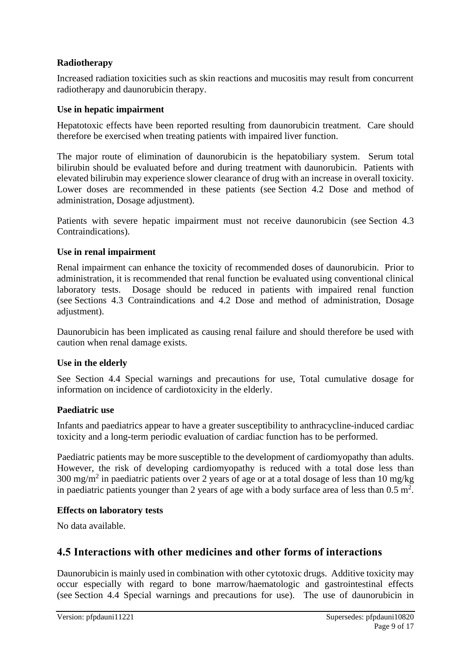### **Radiotherapy**

Increased radiation toxicities such as skin reactions and mucositis may result from concurrent radiotherapy and daunorubicin therapy.

### **Use in hepatic impairment**

Hepatotoxic effects have been reported resulting from daunorubicin treatment. Care should therefore be exercised when treating patients with impaired liver function.

The major route of elimination of daunorubicin is the hepatobiliary system. Serum total bilirubin should be evaluated before and during treatment with daunorubicin. Patients with elevated bilirubin may experience slower clearance of drug with an increase in overall toxicity. Lower doses are recommended in these patients (see Section 4.2 Dose and method of administration, Dosage adjustment).

Patients with severe hepatic impairment must not receive daunorubicin (see Section 4.3 Contraindications).

### **Use in renal impairment**

Renal impairment can enhance the toxicity of recommended doses of daunorubicin. Prior to administration, it is recommended that renal function be evaluated using conventional clinical laboratory tests. Dosage should be reduced in patients with impaired renal function (see Sections 4.3 Contraindications and 4.2 Dose and method of administration, Dosage adjustment).

Daunorubicin has been implicated as causing renal failure and should therefore be used with caution when renal damage exists.

### **Use in the elderly**

See Section 4.4 Special warnings and precautions for use, Total cumulative dosage for information on incidence of cardiotoxicity in the elderly.

### **Paediatric use**

Infants and paediatrics appear to have a greater susceptibility to anthracycline-induced cardiac toxicity and a long-term periodic evaluation of cardiac function has to be performed.

Paediatric patients may be more susceptible to the development of cardiomyopathy than adults. However, the risk of developing cardiomyopathy is reduced with a total dose less than 300 mg/m<sup>2</sup> in paediatric patients over 2 years of age or at a total dosage of less than 10 mg/kg in paediatric patients younger than 2 years of age with a body surface area of less than  $0.5 \text{ m}^2$ .

### **Effects on laboratory tests**

No data available.

# **4.5 Interactions with other medicines and other forms of interactions**

Daunorubicin is mainly used in combination with other cytotoxic drugs. Additive toxicity may occur especially with regard to bone marrow/haematologic and gastrointestinal effects (see Section 4.4 Special warnings and precautions for use). The use of daunorubicin in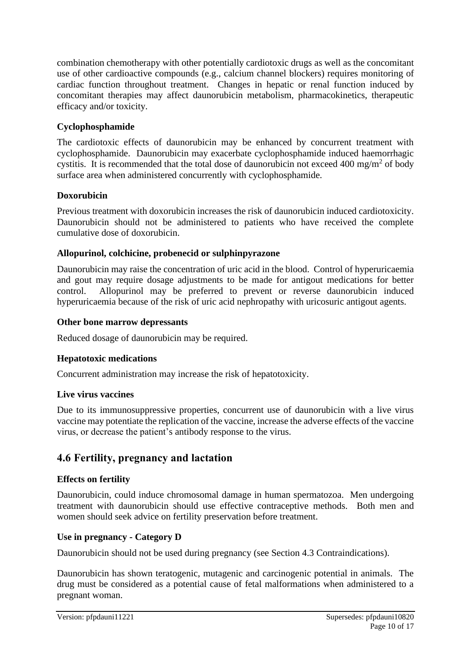combination chemotherapy with other potentially cardiotoxic drugs as well as the concomitant use of other cardioactive compounds (e.g., calcium channel blockers) requires monitoring of cardiac function throughout treatment. Changes in hepatic or renal function induced by concomitant therapies may affect daunorubicin metabolism, pharmacokinetics, therapeutic efficacy and/or toxicity.

### **Cyclophosphamide**

The cardiotoxic effects of daunorubicin may be enhanced by concurrent treatment with cyclophosphamide. Daunorubicin may exacerbate cyclophosphamide induced haemorrhagic cystitis. It is recommended that the total dose of daunorubicin not exceed 400 mg/m<sup>2</sup> of body surface area when administered concurrently with cyclophosphamide.

### **Doxorubicin**

Previous treatment with doxorubicin increases the risk of daunorubicin induced cardiotoxicity. Daunorubicin should not be administered to patients who have received the complete cumulative dose of doxorubicin.

### **Allopurinol, colchicine, probenecid or sulphinpyrazone**

Daunorubicin may raise the concentration of uric acid in the blood. Control of hyperuricaemia and gout may require dosage adjustments to be made for antigout medications for better control. Allopurinol may be preferred to prevent or reverse daunorubicin induced hyperuricaemia because of the risk of uric acid nephropathy with uricosuric antigout agents.

### **Other bone marrow depressants**

Reduced dosage of daunorubicin may be required.

### **Hepatotoxic medications**

Concurrent administration may increase the risk of hepatotoxicity.

### **Live virus vaccines**

Due to its immunosuppressive properties, concurrent use of daunorubicin with a live virus vaccine may potentiate the replication of the vaccine, increase the adverse effects of the vaccine virus, or decrease the patient's antibody response to the virus.

# **4.6 Fertility, pregnancy and lactation**

### **Effects on fertility**

Daunorubicin, could induce chromosomal damage in human spermatozoa. Men undergoing treatment with daunorubicin should use effective contraceptive methods. Both men and women should seek advice on fertility preservation before treatment.

### **Use in pregnancy - Category D**

Daunorubicin should not be used during pregnancy (see Section 4.3 Contraindications).

Daunorubicin has shown teratogenic, mutagenic and carcinogenic potential in animals. The drug must be considered as a potential cause of fetal malformations when administered to a pregnant woman.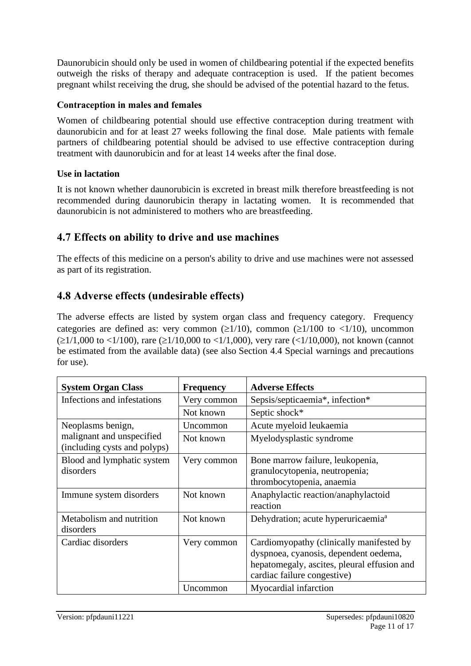Daunorubicin should only be used in women of childbearing potential if the expected benefits outweigh the risks of therapy and adequate contraception is used. If the patient becomes pregnant whilst receiving the drug, she should be advised of the potential hazard to the fetus.

### **Contraception in males and females**

Women of childbearing potential should use effective contraception during treatment with daunorubicin and for at least 27 weeks following the final dose. Male patients with female partners of childbearing potential should be advised to use effective contraception during treatment with daunorubicin and for at least 14 weeks after the final dose.

### **Use in lactation**

It is not known whether daunorubicin is excreted in breast milk therefore breastfeeding is not recommended during daunorubicin therapy in lactating women. It is recommended that daunorubicin is not administered to mothers who are breastfeeding.

# **4.7 Effects on ability to drive and use machines**

The effects of this medicine on a person's ability to drive and use machines were not assessed as part of its registration.

# **4.8 Adverse effects (undesirable effects)**

The adverse effects are listed by system organ class and frequency category. Frequency categories are defined as: very common ( $\geq 1/10$ ), common ( $\geq 1/100$  to  $\lt 1/10$ ), uncommon  $(\geq 1/1,000$  to <1/100), rare ( $\geq 1/10,000$  to <1/1,000), very rare (<1/10,000), not known (cannot be estimated from the available data) (see also Section 4.4 Special warnings and precautions for use).

| <b>System Organ Class</b>                                                      | <b>Frequency</b> | <b>Adverse Effects</b>                                                                                                                                          |
|--------------------------------------------------------------------------------|------------------|-----------------------------------------------------------------------------------------------------------------------------------------------------------------|
| Infections and infestations                                                    | Very common      | Sepsis/septicaemia*, infection*                                                                                                                                 |
|                                                                                | Not known        | Septic shock*                                                                                                                                                   |
| Neoplasms benign,<br>malignant and unspecified<br>(including cysts and polyps) | Uncommon         | Acute myeloid leukaemia                                                                                                                                         |
|                                                                                | Not known        | Myelodysplastic syndrome                                                                                                                                        |
| Blood and lymphatic system<br>disorders                                        | Very common      | Bone marrow failure, leukopenia,<br>granulocytopenia, neutropenia;<br>thrombocytopenia, anaemia                                                                 |
| Immune system disorders                                                        | Not known        | Anaphylactic reaction/anaphylactoid<br>reaction                                                                                                                 |
| Metabolism and nutrition<br>disorders                                          | Not known        | Dehydration; acute hyperuricaemia <sup>a</sup>                                                                                                                  |
| Cardiac disorders                                                              | Very common      | Cardiomyopathy (clinically manifested by<br>dyspnoea, cyanosis, dependent oedema,<br>hepatomegaly, ascites, pleural effusion and<br>cardiac failure congestive) |
|                                                                                | Uncommon         | Myocardial infarction                                                                                                                                           |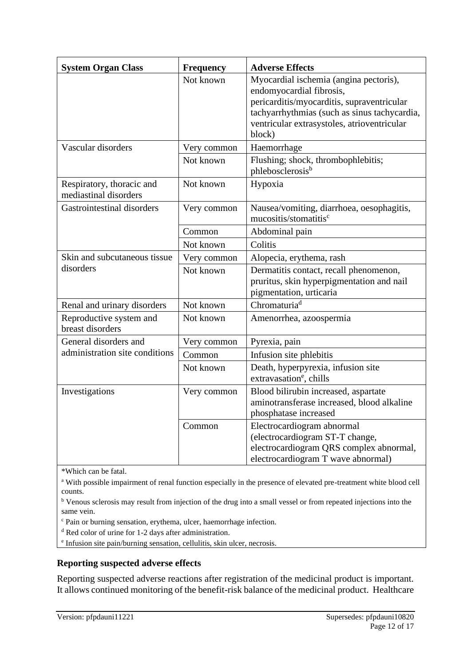| <b>System Organ Class</b>                               | <b>Frequency</b> | <b>Adverse Effects</b>                                                                                                                                                                                                    |
|---------------------------------------------------------|------------------|---------------------------------------------------------------------------------------------------------------------------------------------------------------------------------------------------------------------------|
|                                                         | Not known        | Myocardial ischemia (angina pectoris),<br>endomyocardial fibrosis,<br>pericarditis/myocarditis, supraventricular<br>tachyarrhythmias (such as sinus tachycardia,<br>ventricular extrasystoles, atrioventricular<br>block) |
| Vascular disorders                                      | Very common      | Haemorrhage                                                                                                                                                                                                               |
|                                                         | Not known        | Flushing; shock, thrombophlebitis;<br>phlebosclerosis <sup>b</sup>                                                                                                                                                        |
| Respiratory, thoracic and<br>mediastinal disorders      | Not known        | Hypoxia                                                                                                                                                                                                                   |
| Gastrointestinal disorders                              | Very common      | Nausea/vomiting, diarrhoea, oesophagitis,<br>mucositis/stomatitis <sup>c</sup>                                                                                                                                            |
|                                                         | Common           | Abdominal pain                                                                                                                                                                                                            |
|                                                         | Not known        | Colitis                                                                                                                                                                                                                   |
| Skin and subcutaneous tissue<br>disorders               | Very common      | Alopecia, erythema, rash                                                                                                                                                                                                  |
|                                                         | Not known        | Dermatitis contact, recall phenomenon,<br>pruritus, skin hyperpigmentation and nail<br>pigmentation, urticaria                                                                                                            |
| Renal and urinary disorders                             | Not known        | Chromaturia <sup>d</sup>                                                                                                                                                                                                  |
| Reproductive system and<br>breast disorders             | Not known        | Amenorrhea, azoospermia                                                                                                                                                                                                   |
| General disorders and<br>administration site conditions | Very common      | Pyrexia, pain                                                                                                                                                                                                             |
|                                                         | Common           | Infusion site phlebitis                                                                                                                                                                                                   |
|                                                         | Not known        | Death, hyperpyrexia, infusion site<br>extravasation <sup>e</sup> , chills                                                                                                                                                 |
| Investigations                                          | Very common      | Blood bilirubin increased, aspartate<br>aminotransferase increased, blood alkaline<br>phosphatase increased                                                                                                               |
|                                                         | Common           | Electrocardiogram abnormal<br>(electrocardiogram ST-T change,<br>electrocardiogram QRS complex abnormal,<br>electrocardiogram T wave abnormal)                                                                            |

\*Which can be fatal.

<sup>a</sup> With possible impairment of renal function especially in the presence of elevated pre-treatment white blood cell counts.

<sup>b</sup> Venous sclerosis may result from injection of the drug into a small vessel or from repeated injections into the same vein.

<sup>c</sup> Pain or burning sensation, erythema, ulcer, haemorrhage infection.

<sup>d</sup> Red color of urine for 1-2 days after administration.

e Infusion site pain/burning sensation, cellulitis, skin ulcer, necrosis.

#### **Reporting suspected adverse effects**

Reporting suspected adverse reactions after registration of the medicinal product is important. It allows continued monitoring of the benefit-risk balance of the medicinal product. Healthcare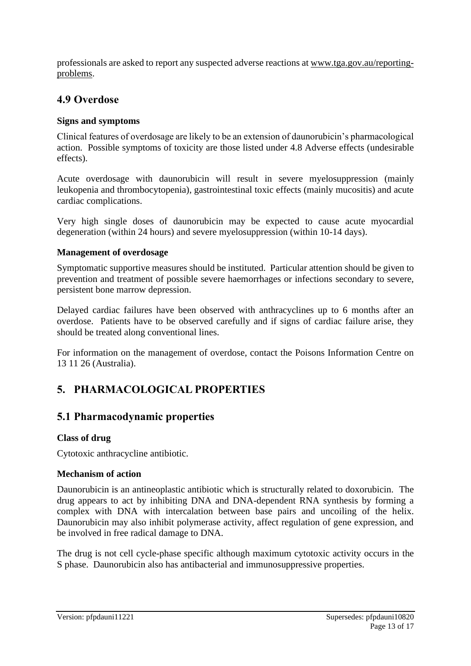professionals are asked to report any suspected adverse reactions at [www.tga.gov.au/reporting](http://www.tga.gov.au/reporting-problems)[problems.](http://www.tga.gov.au/reporting-problems)

# **4.9 Overdose**

### **Signs and symptoms**

Clinical features of overdosage are likely to be an extension of daunorubicin's pharmacological action. Possible symptoms of toxicity are those listed under 4.8 Adverse effects (undesirable effects).

Acute overdosage with daunorubicin will result in severe myelosuppression (mainly leukopenia and thrombocytopenia), gastrointestinal toxic effects (mainly mucositis) and acute cardiac complications.

Very high single doses of daunorubicin may be expected to cause acute myocardial degeneration (within 24 hours) and severe myelosuppression (within 10-14 days).

### **Management of overdosage**

Symptomatic supportive measures should be instituted. Particular attention should be given to prevention and treatment of possible severe haemorrhages or infections secondary to severe, persistent bone marrow depression.

Delayed cardiac failures have been observed with anthracyclines up to 6 months after an overdose. Patients have to be observed carefully and if signs of cardiac failure arise, they should be treated along conventional lines.

For information on the management of overdose, contact the Poisons Information Centre on 13 11 26 (Australia).

# **5. PHARMACOLOGICAL PROPERTIES**

# **5.1 Pharmacodynamic properties**

### **Class of drug**

Cytotoxic anthracycline antibiotic.

### **Mechanism of action**

Daunorubicin is an antineoplastic antibiotic which is structurally related to doxorubicin. The drug appears to act by inhibiting DNA and DNA-dependent RNA synthesis by forming a complex with DNA with intercalation between base pairs and uncoiling of the helix. Daunorubicin may also inhibit polymerase activity, affect regulation of gene expression, and be involved in free radical damage to DNA.

The drug is not cell cycle-phase specific although maximum cytotoxic activity occurs in the S phase. Daunorubicin also has antibacterial and immunosuppressive properties.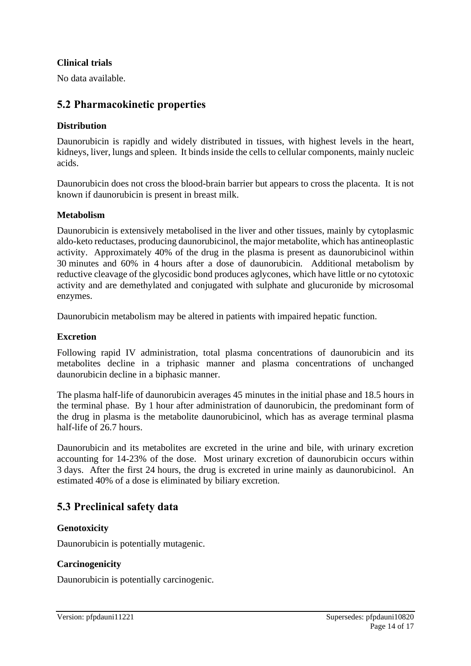#### **Clinical trials**

No data available.

### **5.2 Pharmacokinetic properties**

#### **Distribution**

Daunorubicin is rapidly and widely distributed in tissues, with highest levels in the heart, kidneys, liver, lungs and spleen. It binds inside the cells to cellular components, mainly nucleic acids.

Daunorubicin does not cross the blood-brain barrier but appears to cross the placenta. It is not known if daunorubicin is present in breast milk.

#### **Metabolism**

Daunorubicin is extensively metabolised in the liver and other tissues, mainly by cytoplasmic aldo-keto reductases, producing daunorubicinol, the major metabolite, which has antineoplastic activity. Approximately 40% of the drug in the plasma is present as daunorubicinol within 30 minutes and 60% in 4 hours after a dose of daunorubicin. Additional metabolism by reductive cleavage of the glycosidic bond produces aglycones, which have little or no cytotoxic activity and are demethylated and conjugated with sulphate and glucuronide by microsomal enzymes.

Daunorubicin metabolism may be altered in patients with impaired hepatic function.

#### **Excretion**

Following rapid IV administration, total plasma concentrations of daunorubicin and its metabolites decline in a triphasic manner and plasma concentrations of unchanged daunorubicin decline in a biphasic manner.

The plasma half-life of daunorubicin averages 45 minutes in the initial phase and 18.5 hours in the terminal phase. By 1 hour after administration of daunorubicin, the predominant form of the drug in plasma is the metabolite daunorubicinol, which has as average terminal plasma half-life of 26.7 hours.

Daunorubicin and its metabolites are excreted in the urine and bile, with urinary excretion accounting for 14-23% of the dose. Most urinary excretion of daunorubicin occurs within 3 days. After the first 24 hours, the drug is excreted in urine mainly as daunorubicinol. An estimated 40% of a dose is eliminated by biliary excretion.

### **5.3 Preclinical safety data**

#### **Genotoxicity**

Daunorubicin is potentially mutagenic.

#### **Carcinogenicity**

Daunorubicin is potentially carcinogenic.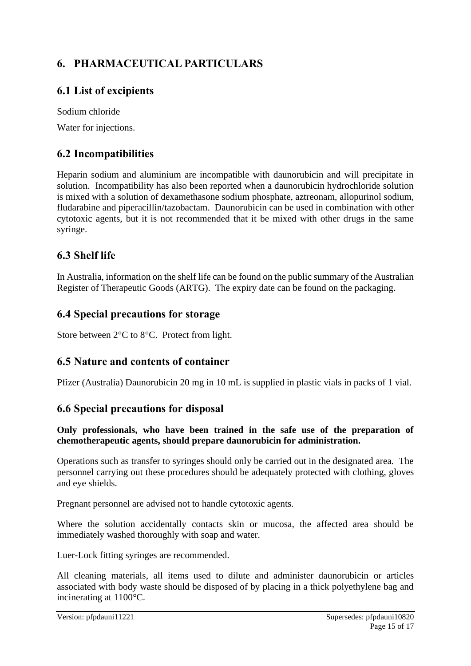# **6. PHARMACEUTICAL PARTICULARS**

# **6.1 List of excipients**

Sodium chloride Water for injections.

# **6.2 Incompatibilities**

Heparin sodium and aluminium are incompatible with daunorubicin and will precipitate in solution. Incompatibility has also been reported when a daunorubicin hydrochloride solution is mixed with a solution of dexamethasone sodium phosphate, aztreonam, allopurinol sodium, fludarabine and piperacillin/tazobactam. Daunorubicin can be used in combination with other cytotoxic agents, but it is not recommended that it be mixed with other drugs in the same syringe.

# **6.3 Shelf life**

In Australia, information on the shelf life can be found on the public summary of the Australian Register of Therapeutic Goods (ARTG). The expiry date can be found on the packaging.

### **6.4 Special precautions for storage**

Store between 2°C to 8°C. Protect from light.

# **6.5 Nature and contents of container**

Pfizer (Australia) Daunorubicin 20 mg in 10 mL is supplied in plastic vials in packs of 1 vial.

# **6.6 Special precautions for disposal**

#### **Only professionals, who have been trained in the safe use of the preparation of chemotherapeutic agents, should prepare daunorubicin for administration.**

Operations such as transfer to syringes should only be carried out in the designated area. The personnel carrying out these procedures should be adequately protected with clothing, gloves and eye shields.

Pregnant personnel are advised not to handle cytotoxic agents.

Where the solution accidentally contacts skin or mucosa, the affected area should be immediately washed thoroughly with soap and water.

Luer-Lock fitting syringes are recommended.

All cleaning materials, all items used to dilute and administer daunorubicin or articles associated with body waste should be disposed of by placing in a thick polyethylene bag and incinerating at 1100°C.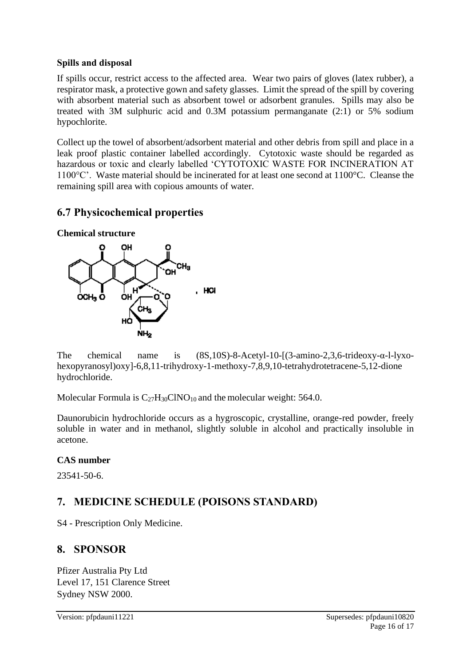#### **Spills and disposal**

If spills occur, restrict access to the affected area. Wear two pairs of gloves (latex rubber), a respirator mask, a protective gown and safety glasses. Limit the spread of the spill by covering with absorbent material such as absorbent towel or adsorbent granules. Spills may also be treated with 3M sulphuric acid and 0.3M potassium permanganate (2:1) or 5% sodium hypochlorite.

Collect up the towel of absorbent/adsorbent material and other debris from spill and place in a leak proof plastic container labelled accordingly. Cytotoxic waste should be regarded as hazardous or toxic and clearly labelled 'CYTOTOXIC WASTE FOR INCINERATION AT 1100°C'. Waste material should be incinerated for at least one second at 1100°C. Cleanse the remaining spill area with copious amounts of water.

# **6.7 Physicochemical properties**



The chemical name is (8S,10S)-8-Acetyl-10-[(3-amino-2,3,6-trideoxy-α-l-lyxohexopyranosyl)oxy]-6,8,11-trihydroxy-1-methoxy-7,8,9,10-tetrahydrotetracene-5,12-dione hydrochloride.

Molecular Formula is  $C_{27}H_{30}CNO_{10}$  and the molecular weight: 564.0.

Daunorubicin hydrochloride occurs as a hygroscopic, crystalline, orange-red powder, freely soluble in water and in methanol, slightly soluble in alcohol and practically insoluble in acetone.

### **CAS number**

23541-50-6.

# **7. MEDICINE SCHEDULE (POISONS STANDARD)**

S4 - Prescription Only Medicine.

# **8. SPONSOR**

Pfizer Australia Pty Ltd Level 17, 151 Clarence Street Sydney NSW 2000.